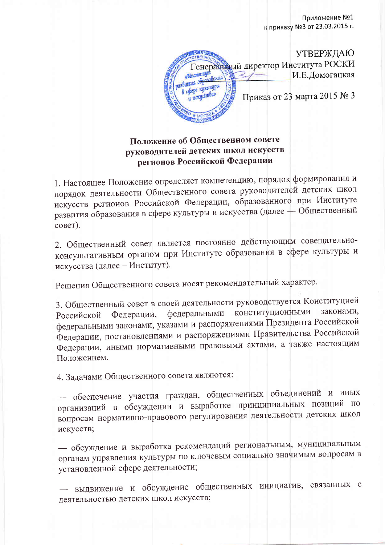**OF PIN УТВЕРЖДАЮ** енеральный директор Института РОСКИ **Ancumunism** И.Е.Домогацкая asbumus o<del>bpasabanas</del> в сфере кульпінры Приказ от 23 марта 2015 № 3

## Положение об Общественном совете руководителей детских школ искусств регионов Российской Федерации

1. Настоящее Положение определяет компетенцию, порядок формирования и порядок деятельности Общественного совета руководителей детских школ искусств регионов Российской Федерации, образованного при Институте развития образования в сфере культуры и искусства (далее - Общественный совет).

2. Общественный совет является постоянно действующим совещательноконсультативным органом при Институте образования в сфере культуры и искусства (далее - Институт).

Решения Общественного совета носят рекомендательный характер.

3. Общественный совет в своей деятельности руководствуется Конституцией конституционными законами, федеральными Федерации, Российской федеральными законами, указами и распоряжениями Президента Российской Федерации, постановлениями и распоряжениями Правительства Российской Федерации, иными нормативными правовыми актами, а также настоящим Положением.

4. Задачами Общественного совета являются:

- обеспечение участия граждан, общественных объединений и иных организаций в обсуждении и выработке принципиальных позиций по вопросам нормативно-правового регулирования деятельности детских школ искусств;

- обсуждение и выработка рекомендаций региональным, муниципальным органам управления культуры по ключевым социально значимым вопросам в установленной сфере деятельности;

- выдвижение и обсуждение общественных инициатив, связанных с деятельностью детских школ искусств;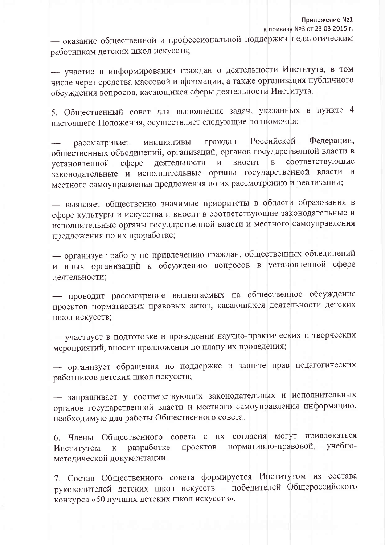- оказание общественной и профессиональной поддержки педагогическим работникам детских школ искусств;

- участие в информировании граждан о деятельности Института, в том числе через средства массовой информации, а также организация публичного обсуждения вопросов, касающихся сферы деятельности Института.

5. Общественный совет для выполнения задач, указанных в пункте 4 настоящего Положения, осуществляет следующие полномочия:

Федерации, Российской граждан инициативы рассматривает общественных объединений, организаций, органов государственной власти в соответствующие вносит  $\overline{B}$ coepe деятельности  $\overline{M}$ установленной законодательные и исполнительные органы государственной власти и местного самоуправления предложения по их рассмотрению и реализации;

- выявляет общественно значимые приоритеты в области образования в сфере культуры и искусства и вносит в соответствующие законодательные и исполнительные органы государственной власти и местного самоуправления предложения по их проработке;

- организует работу по привлечению граждан, общественных объединений и иных организаций к обсуждению вопросов в установленной сфере деятельности;

проводит рассмотрение выдвигаемых на общественное обсуждение проектов нормативных правовых актов, касающихся деятельности детских школ искусств;

- участвует в подготовке и проведении научно-практических и творческих мероприятий, вносит предложения по плану их проведения;

- организует обращения по поддержке и защите прав педагогических работников детских школ искусств;

запрашивает у соответствующих законодательных и исполнительных органов государственной власти и местного самоуправления информацию, необходимую для работы Общественного совета.

6. Члены Общественного совета с их согласия могут привлекаться учебнонормативно-правовой, проектов разработке Институтом  ${\bf K}$ методической документации.

7. Состав Общественного совета формируется Институтом из состава руководителей детских школ искусств - победителей Общероссийского конкурса «50 лучших детских школ искусств».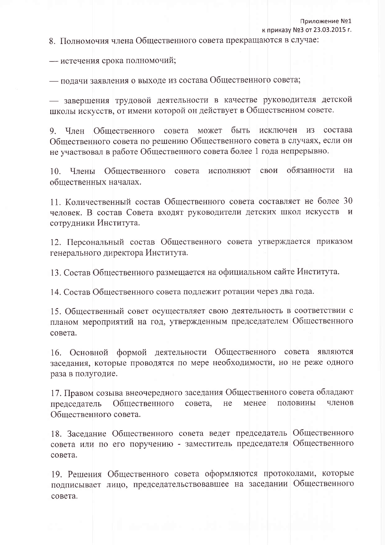8. Полномочия члена Общественного совета прекращаются в случае:

- истечения срока полномочий;

- подачи заявления о выходе из состава Общественного совета;

- завершения трудовой деятельности в качестве руководителя детской школы искусств, от имени которой он действует в Общественном совете.

9. Член Общественного совета может быть исключен из состава Общественного совета по решению Общественного совета в случаях, если он не участвовал в работе Общественного совета более 1 года непрерывно.

обязанности 10. Члены Общественного совета свои на исполняют общественных началах.

11. Количественный состав Общественного совета составляет не более 30 человек. В состав Совета входят руководители детских школ искусств и сотрудники Института.

12. Персональный состав Общественного совета утверждается приказом генерального директора Института.

13. Состав Общественного размещается на официальном сайте Института.

14. Состав Общественного совета подлежит ротации через два года.

15. Общественный совет осуществляет свою деятельность в соответствии с планом мероприятий на год, утвержденным председателем Общественного совета.

16. Основной формой деятельности Общественного совета являются заседания, которые проводятся по мере необходимости, но не реже одного раза в полугодие.

17. Правом созыва внеочередного заседания Общественного совета обладают Общественного совета, He менее половины членов председатель Общественного совета.

18. Заседание Общественного совета ведет председатель Общественного совета или по его поручению - заместитель председателя Общественного совета.

19. Решения Общественного совета оформляются протоколами, которые подписывает лицо, председательствовавшее на заседании Общественного совета.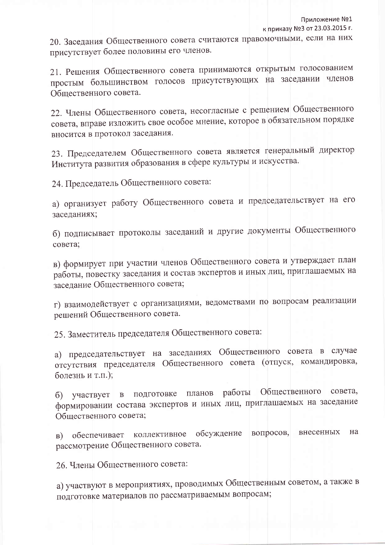20. Заседания Общественного совета считаются правомочными, если на них присутствует более половины его членов.

21. Решения Общественного совета принимаются открытым голосованием простым большинством голосов присутствующих на заседании членов Общественного совета.

22. Члены Общественного совета, несогласные с решением Общественного совета, вправе изложить свое особое мнение, которое в обязательном порядке вносится в протокол заседания.

23. Председателем Общественного совета является генеральный директор Института развития образования в сфере культуры и искусства.

24. Председатель Общественного совета:

а) организует работу Общественного совета и председательствует на его заседаниях;

б) подписывает протоколы заседаний и другие документы Общественного совета;

в) формирует при участии членов Общественного совета и утверждает план работы, повестку заседания и состав экспертов и иных лиц, приглашаемых на заседание Общественного совета;

г) взаимодействует с организациями, ведомствами по вопросам реализации решений Общественного совета.

25. Заместитель председателя Общественного совета:

а) председательствует на заседаниях Общественного совета в случае отсутствия председателя Общественного совета (отпуск, командировка, болезнь и т.п.);

работы Общественного совета, подготовке планов участвует в 6) формировании состава экспертов и иных лиц, приглашаемых на заседание Общественного совета;

обсуждение вопросов, внесенных на в) обеспечивает коллективное рассмотрение Общественного совета.

26. Члены Общественного совета:

а) участвуют в мероприятиях, проводимых Общественным советом, а также в подготовке материалов по рассматриваемым вопросам;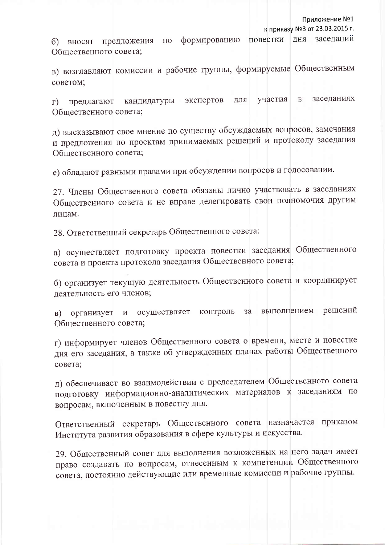Приложение №1

к приказу №3 от 23.03.2015 г.

дня заседаний формированию повестки б) вносят предложения  $\overline{10}$ Общественного совета;

в) возглавляют комиссии и рабочие группы, формируемые Общественным советом;

заседаниях экспертов участия B для кандидатуры  $\Gamma$ ) предлагают Общественного совета;

д) высказывают свое мнение по существу обсуждаемых вопросов, замечания и предложения по проектам принимаемых решений и протоколу заседания Общественного совета;

е) обладают равными правами при обсуждении вопросов и голосовании.

27. Члены Общественного совета обязаны лично участвовать в заседаниях Общественного совета и не вправе делегировать свои полномочия другим лицам.

28. Ответственный секретарь Общественного совета:

а) осуществляет подготовку проекта повестки заседания Общественного совета и проекта протокола заседания Общественного совета;

б) организует текущую деятельность Общественного совета и координирует деятельность его членов;

решений выполнением осуществляет контроль за организует  $\,$  M B) Общественного совета;

г) информирует членов Общественного совета о времени, месте и повестке дня его заседания, а также об утвержденных планах работы Общественного совета;

д) обеспечивает во взаимодействии с председателем Общественного совета подготовку информационно-аналитических материалов к заседаниям по вопросам, включенным в повестку дня.

Ответственный секретарь Общественного совета назначается приказом Института развития образования в сфере культуры и искусства.

29. Общественный совет для выполнения возложенных на него задач имеет право создавать по вопросам, отнесенным к компетенции Общественного совета, постоянно действующие или временные комиссии и рабочие группы.